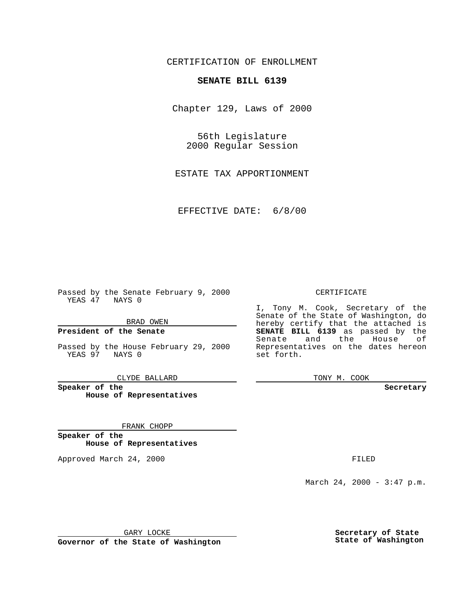CERTIFICATION OF ENROLLMENT

## **SENATE BILL 6139**

Chapter 129, Laws of 2000

56th Legislature 2000 Regular Session

ESTATE TAX APPORTIONMENT

EFFECTIVE DATE: 6/8/00

Passed by the Senate February 9, 2000 YEAS 47 NAYS 0

BRAD OWEN

**President of the Senate**

Passed by the House February 29, 2000 YEAS 97 NAYS 0

CLYDE BALLARD

**Speaker of the House of Representatives**

FRANK CHOPP

**Speaker of the House of Representatives**

Approved March 24, 2000 FILED

## CERTIFICATE

I, Tony M. Cook, Secretary of the Senate of the State of Washington, do hereby certify that the attached is **SENATE BILL 6139** as passed by the Senate and the House of Representatives on the dates hereon set forth.

TONY M. COOK

**Secretary**

March 24, 2000 - 3:47 p.m.

GARY LOCKE

**Governor of the State of Washington**

**Secretary of State State of Washington**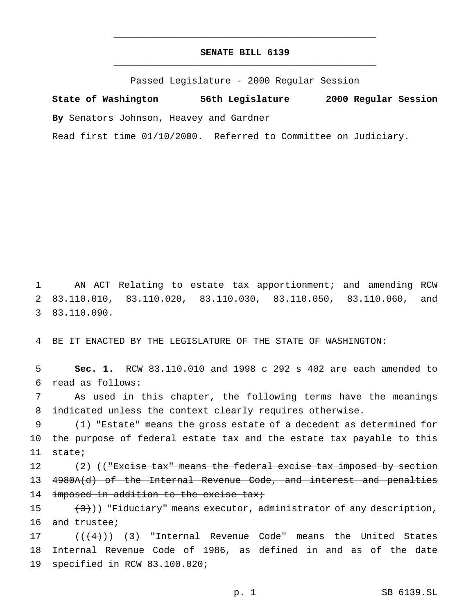## **SENATE BILL 6139** \_\_\_\_\_\_\_\_\_\_\_\_\_\_\_\_\_\_\_\_\_\_\_\_\_\_\_\_\_\_\_\_\_\_\_\_\_\_\_\_\_\_\_\_\_\_\_

\_\_\_\_\_\_\_\_\_\_\_\_\_\_\_\_\_\_\_\_\_\_\_\_\_\_\_\_\_\_\_\_\_\_\_\_\_\_\_\_\_\_\_\_\_\_\_

Passed Legislature - 2000 Regular Session

**State of Washington 56th Legislature 2000 Regular Session**

**By** Senators Johnson, Heavey and Gardner

Read first time 01/10/2000. Referred to Committee on Judiciary.

1 AN ACT Relating to estate tax apportionment; and amending RCW 2 83.110.010, 83.110.020, 83.110.030, 83.110.050, 83.110.060, and 3 83.110.090.

4 BE IT ENACTED BY THE LEGISLATURE OF THE STATE OF WASHINGTON:

5 **Sec. 1.** RCW 83.110.010 and 1998 c 292 s 402 are each amended to 6 read as follows:

7 As used in this chapter, the following terms have the meanings 8 indicated unless the context clearly requires otherwise.

9 (1) "Estate" means the gross estate of a decedent as determined for 10 the purpose of federal estate tax and the estate tax payable to this 11 state;

12 (2) ((<del>"Excise tax" means the federal excise tax imposed by section</del> 13 4980A(d) of the Internal Revenue Code, and interest and penalties 14 imposed in addition to the excise tax;

15  $(3)$ )) "Fiduciary" means executor, administrator of any description, 16 and trustee;

17  $((\frac{4}{3})$  (3) "Internal Revenue Code" means the United States 18 Internal Revenue Code of 1986, as defined in and as of the date 19 specified in RCW 83.100.020;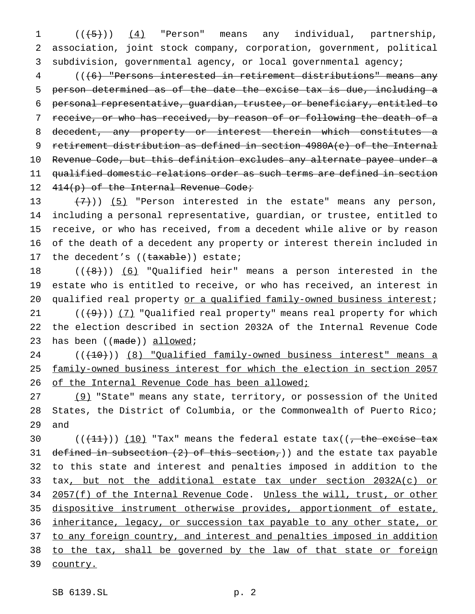1 ((<del>(5)</del>)) (4) "Person" means any individual, partnership, 2 association, joint stock company, corporation, government, political 3 subdivision, governmental agency, or local governmental agency;

 (((6) "Persons interested in retirement distributions" means any person determined as of the date the excise tax is due, including a personal representative, guardian, trustee, or beneficiary, entitled to 7 receive, or who has received, by reason of or following the death of a decedent, any property or interest therein which constitutes a retirement distribution as defined in section 4980A(e) of the Internal Revenue Code, but this definition excludes any alternate payee under a qualified domestic relations order as such terms are defined in section 12 414(p) of the Internal Revenue Code;

 $(7)$ )) (5) "Person interested in the estate" means any person, including a personal representative, guardian, or trustee, entitled to receive, or who has received, from a decedent while alive or by reason of the death of a decedent any property or interest therein included in 17 the decedent's ((taxable)) estate;

18  $((+8))$  (6) "Qualified heir" means a person interested in the 19 estate who is entitled to receive, or who has received, an interest in 20 qualified real property or a qualified family-owned business interest;

21  $((+9))$  (7) "Qualified real property" means real property for which 22 the election described in section 2032A of the Internal Revenue Code 23 has been ((made)) allowed;

24 (( $(10)$ ) (8) "Qualified family-owned business interest" means a 25 family-owned business interest for which the election in section 2057 26 of the Internal Revenue Code has been allowed;

27 (9) "State" means any state, territory, or possession of the United 28 States, the District of Columbia, or the Commonwealth of Puerto Rico; 29 and

30  $((+11))$   $(10)$  "Tax" means the federal estate tax( $(-)$  the excise tax 31 defined in subsection  $(2)$  of this section,)) and the estate tax payable 32 to this state and interest and penalties imposed in addition to the 33 tax, but not the additional estate tax under section 2032A(c) or 34 2057(f) of the Internal Revenue Code. Unless the will, trust, or other 35 dispositive instrument otherwise provides, apportionment of estate, 36 inheritance, legacy, or succession tax payable to any other state, or 37 to any foreign country, and interest and penalties imposed in addition 38 to the tax, shall be governed by the law of that state or foreign 39 country.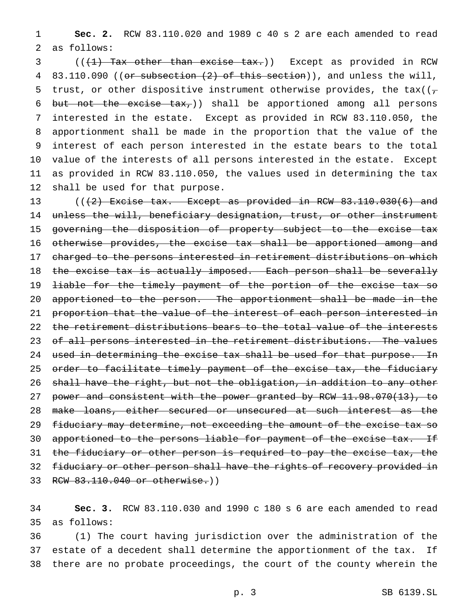1 **Sec. 2.** RCW 83.110.020 and 1989 c 40 s 2 are each amended to read 2 as follows:

 $($   $($   $($   $\{$   $\}$   $)$   $\{$   $\}$   $\{$   $\}$   $\{$   $\}$   $\{$   $\}$   $\{$   $\}$   $\{$   $\{$   $\}$   $\{$   $\}$   $\{$   $\}$   $\{$   $\}$   $\{$   $\}$   $\{$   $\}$   $\{$   $\}$   $\{$   $\}$   $\{$   $\}$   $\{$   $\}$   $\{$   $\{$   $\}$   $\{$   $\}$   $\{$   $\}$   $\{$ 4 83.110.090 ((or subsection (2) of this section)), and unless the will, 5 trust, or other dispositive instrument otherwise provides, the tax( $(\tau$ 6 but not the excise  $\text{tax}_r$ ) shall be apportioned among all persons interested in the estate. Except as provided in RCW 83.110.050, the apportionment shall be made in the proportion that the value of the interest of each person interested in the estate bears to the total value of the interests of all persons interested in the estate. Except as provided in RCW 83.110.050, the values used in determining the tax shall be used for that purpose.

13  $((2)$  Excise tax. Except as provided in RCW  $83.110.030(6)$  and 14 unless the will, beneficiary designation, trust, or other instrument 15 governing the disposition of property subject to the excise tax 16 otherwise provides, the excise tax shall be apportioned among and 17 charged to the persons interested in retirement distributions on which 18 the excise tax is actually imposed. Each person shall be severally 19 <del>liable for the timely payment of the portion of the excise tax so</del> 20 apportioned to the person. The apportionment shall be made in the 21 proportion that the value of the interest of each person interested in 22 the retirement distributions bears to the total value of the interests 23 of all persons interested in the retirement distributions. The values 24 used in determining the excise tax shall be used for that purpose. In 25 order to facilitate timely payment of the excise tax, the fiduciary 26 shall have the right, but not the obligation, in addition to any other 27 power and consistent with the power granted by RCW 11.98.070(13), to 28 make loans, either secured or unsecured at such interest as the 29 fiduciary may determine, not exceeding the amount of the excise tax so 30 apportioned to the persons liable for payment of the excise tax. If 31 the fiduciary or other person is required to pay the excise tax, the 32 fiduciary or other person shall have the rights of recovery provided in 33 RCW 83.110.040 or otherwise.))

34 **Sec. 3.** RCW 83.110.030 and 1990 c 180 s 6 are each amended to read 35 as follows:

36 (1) The court having jurisdiction over the administration of the 37 estate of a decedent shall determine the apportionment of the tax. If 38 there are no probate proceedings, the court of the county wherein the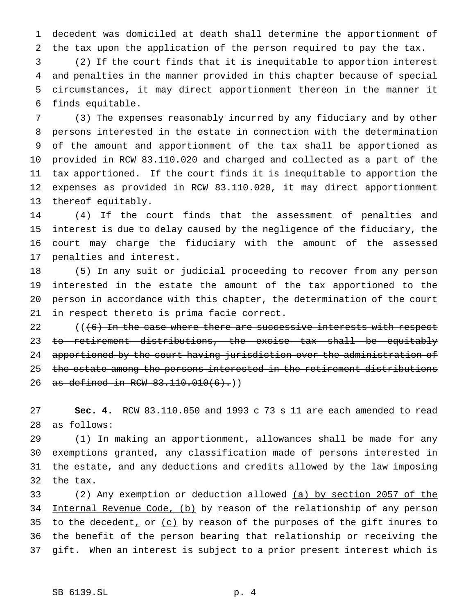decedent was domiciled at death shall determine the apportionment of the tax upon the application of the person required to pay the tax.

 (2) If the court finds that it is inequitable to apportion interest and penalties in the manner provided in this chapter because of special circumstances, it may direct apportionment thereon in the manner it finds equitable.

 (3) The expenses reasonably incurred by any fiduciary and by other persons interested in the estate in connection with the determination of the amount and apportionment of the tax shall be apportioned as provided in RCW 83.110.020 and charged and collected as a part of the tax apportioned. If the court finds it is inequitable to apportion the expenses as provided in RCW 83.110.020, it may direct apportionment thereof equitably.

 (4) If the court finds that the assessment of penalties and interest is due to delay caused by the negligence of the fiduciary, the court may charge the fiduciary with the amount of the assessed penalties and interest.

 (5) In any suit or judicial proceeding to recover from any person interested in the estate the amount of the tax apportioned to the person in accordance with this chapter, the determination of the court in respect thereto is prima facie correct.

 $($   $($   $($   $\uparrow$   $\uparrow$   $)$  In the case where there are successive interests with respect 23 to retirement distributions, the excise tax shall be equitably apportioned by the court having jurisdiction over the administration of 25 the estate among the persons interested in the retirement distributions 26 as defined in RCW 83.110.010(6).))

 **Sec. 4.** RCW 83.110.050 and 1993 c 73 s 11 are each amended to read as follows:

 (1) In making an apportionment, allowances shall be made for any exemptions granted, any classification made of persons interested in the estate, and any deductions and credits allowed by the law imposing the tax.

 (2) Any exemption or deduction allowed (a) by section 2057 of the 34 Internal Revenue Code, (b) by reason of the relationship of any person 35 to the decedent, or  $(c)$  by reason of the purposes of the gift inures to the benefit of the person bearing that relationship or receiving the gift. When an interest is subject to a prior present interest which is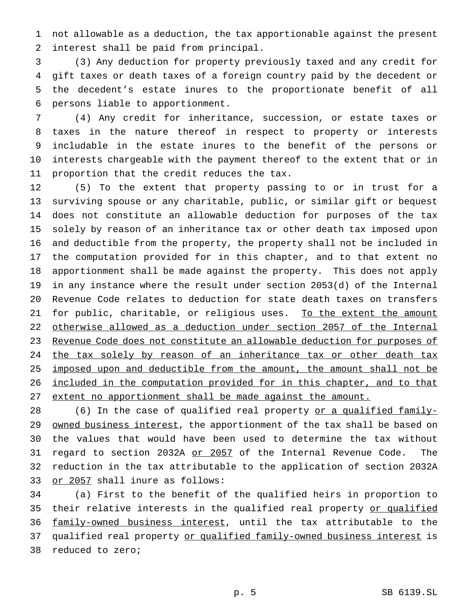not allowable as a deduction, the tax apportionable against the present interest shall be paid from principal.

 (3) Any deduction for property previously taxed and any credit for gift taxes or death taxes of a foreign country paid by the decedent or the decedent's estate inures to the proportionate benefit of all persons liable to apportionment.

 (4) Any credit for inheritance, succession, or estate taxes or taxes in the nature thereof in respect to property or interests includable in the estate inures to the benefit of the persons or interests chargeable with the payment thereof to the extent that or in proportion that the credit reduces the tax.

 (5) To the extent that property passing to or in trust for a surviving spouse or any charitable, public, or similar gift or bequest does not constitute an allowable deduction for purposes of the tax solely by reason of an inheritance tax or other death tax imposed upon and deductible from the property, the property shall not be included in the computation provided for in this chapter, and to that extent no apportionment shall be made against the property. This does not apply in any instance where the result under section 2053(d) of the Internal Revenue Code relates to deduction for state death taxes on transfers 21 for public, charitable, or religious uses. To the extent the amount otherwise allowed as a deduction under section 2057 of the Internal Revenue Code does not constitute an allowable deduction for purposes of 24 the tax solely by reason of an inheritance tax or other death tax 25 imposed upon and deductible from the amount, the amount shall not be included in the computation provided for in this chapter, and to that extent no apportionment shall be made against the amount.

28 (6) In the case of qualified real property or a qualified family-29 owned business interest, the apportionment of the tax shall be based on the values that would have been used to determine the tax without 31 regard to section 2032A or 2057 of the Internal Revenue Code. The reduction in the tax attributable to the application of section 2032A 33 or 2057 shall inure as follows:

 (a) First to the benefit of the qualified heirs in proportion to 35 their relative interests in the qualified real property or qualified 36 family-owned business interest, until the tax attributable to the 37 qualified real property or qualified family-owned business interest is reduced to zero;